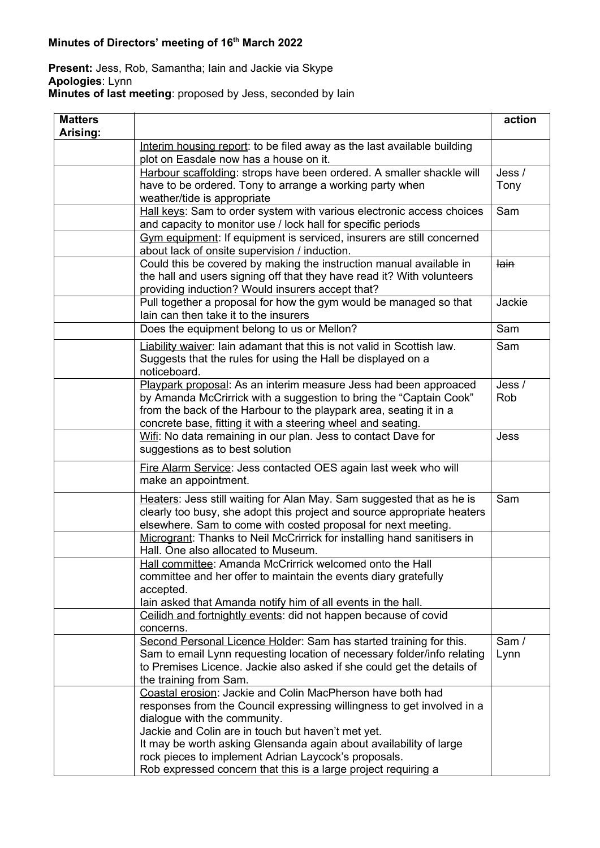## **Minutes of Directors' meeting of 16th March 2022**

## **Present:** Jess, Rob, Samantha; Iain and Jackie via Skype **Apologies**: Lynn **Minutes of last meeting**: proposed by Jess, seconded by Iain

| <b>Matters</b><br>Arising: |                                                                                                                                                                                                                                                                                                                                                                                                                            | action         |
|----------------------------|----------------------------------------------------------------------------------------------------------------------------------------------------------------------------------------------------------------------------------------------------------------------------------------------------------------------------------------------------------------------------------------------------------------------------|----------------|
|                            | Interim housing report: to be filed away as the last available building<br>plot on Easdale now has a house on it.                                                                                                                                                                                                                                                                                                          |                |
|                            | Harbour scaffolding: strops have been ordered. A smaller shackle will<br>have to be ordered. Tony to arrange a working party when<br>weather/tide is appropriate                                                                                                                                                                                                                                                           | Jess /<br>Tony |
|                            | Hall keys: Sam to order system with various electronic access choices<br>and capacity to monitor use / lock hall for specific periods                                                                                                                                                                                                                                                                                      | Sam            |
|                            | Gym equipment: If equipment is serviced, insurers are still concerned<br>about lack of onsite supervision / induction.                                                                                                                                                                                                                                                                                                     |                |
|                            | Could this be covered by making the instruction manual available in<br>the hall and users signing off that they have read it? With volunteers<br>providing induction? Would insurers accept that?                                                                                                                                                                                                                          | <b>lain</b>    |
|                            | Pull together a proposal for how the gym would be managed so that<br>lain can then take it to the insurers                                                                                                                                                                                                                                                                                                                 | Jackie         |
|                            | Does the equipment belong to us or Mellon?                                                                                                                                                                                                                                                                                                                                                                                 | Sam            |
|                            | <b>Liability waiver:</b> lain adamant that this is not valid in Scottish law.<br>Suggests that the rules for using the Hall be displayed on a<br>noticeboard.                                                                                                                                                                                                                                                              | Sam            |
|                            | Playpark proposal: As an interim measure Jess had been approaced<br>by Amanda McCrirrick with a suggestion to bring the "Captain Cook"<br>from the back of the Harbour to the playpark area, seating it in a<br>concrete base, fitting it with a steering wheel and seating.                                                                                                                                               | Jess /<br>Rob  |
|                            | Wifi: No data remaining in our plan. Jess to contact Dave for<br>suggestions as to best solution                                                                                                                                                                                                                                                                                                                           | Jess           |
|                            | Fire Alarm Service: Jess contacted OES again last week who will<br>make an appointment.                                                                                                                                                                                                                                                                                                                                    |                |
|                            | Heaters: Jess still waiting for Alan May. Sam suggested that as he is<br>clearly too busy, she adopt this project and source appropriate heaters<br>elsewhere. Sam to come with costed proposal for next meeting.                                                                                                                                                                                                          | Sam            |
|                            | Microgrant: Thanks to Neil McCrirrick for installing hand sanitisers in<br>Hall. One also allocated to Museum.                                                                                                                                                                                                                                                                                                             |                |
|                            | Hall committee: Amanda McCrirrick welcomed onto the Hall<br>committee and her offer to maintain the events diary gratefully<br>accepted.<br>lain asked that Amanda notify him of all events in the hall.                                                                                                                                                                                                                   |                |
|                            | Ceilidh and fortnightly events: did not happen because of covid<br>concerns.                                                                                                                                                                                                                                                                                                                                               |                |
|                            | Second Personal Licence Holder: Sam has started training for this.<br>Sam to email Lynn requesting location of necessary folder/info relating<br>to Premises Licence. Jackie also asked if she could get the details of<br>the training from Sam.                                                                                                                                                                          | Sam /<br>Lynn  |
|                            | Coastal erosion: Jackie and Colin MacPherson have both had<br>responses from the Council expressing willingness to get involved in a<br>dialogue with the community.<br>Jackie and Colin are in touch but haven't met yet.<br>It may be worth asking Glensanda again about availability of large<br>rock pieces to implement Adrian Laycock's proposals.<br>Rob expressed concern that this is a large project requiring a |                |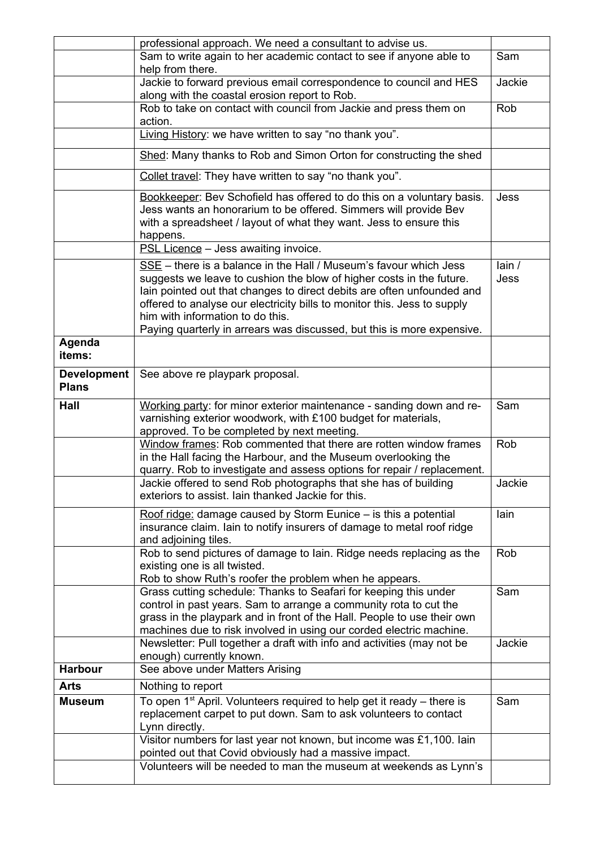|                                    | professional approach. We need a consultant to advise us.                                                                                                                                                                                                                                                                                                                                                       |               |
|------------------------------------|-----------------------------------------------------------------------------------------------------------------------------------------------------------------------------------------------------------------------------------------------------------------------------------------------------------------------------------------------------------------------------------------------------------------|---------------|
|                                    | Sam to write again to her academic contact to see if anyone able to<br>help from there.                                                                                                                                                                                                                                                                                                                         | Sam           |
|                                    | Jackie to forward previous email correspondence to council and HES<br>along with the coastal erosion report to Rob.                                                                                                                                                                                                                                                                                             | Jackie        |
|                                    | Rob to take on contact with council from Jackie and press them on<br>action.                                                                                                                                                                                                                                                                                                                                    | Rob           |
|                                    | Living History: we have written to say "no thank you".                                                                                                                                                                                                                                                                                                                                                          |               |
|                                    | Shed: Many thanks to Rob and Simon Orton for constructing the shed                                                                                                                                                                                                                                                                                                                                              |               |
|                                    | Collet travel: They have written to say "no thank you".                                                                                                                                                                                                                                                                                                                                                         |               |
|                                    | Bookkeeper: Bev Schofield has offered to do this on a voluntary basis.<br>Jess wants an honorarium to be offered. Simmers will provide Bev<br>with a spreadsheet / layout of what they want. Jess to ensure this<br>happens.                                                                                                                                                                                    | Jess          |
|                                    | PSL Licence - Jess awaiting invoice.                                                                                                                                                                                                                                                                                                                                                                            |               |
|                                    | $SSE$ – there is a balance in the Hall / Museum's favour which Jess<br>suggests we leave to cushion the blow of higher costs in the future.<br>lain pointed out that changes to direct debits are often unfounded and<br>offered to analyse our electricity bills to monitor this. Jess to supply<br>him with information to do this.<br>Paying quarterly in arrears was discussed, but this is more expensive. | lain/<br>Jess |
| Agenda<br>items:                   |                                                                                                                                                                                                                                                                                                                                                                                                                 |               |
| <b>Development</b><br><b>Plans</b> | See above re playpark proposal.                                                                                                                                                                                                                                                                                                                                                                                 |               |
| Hall                               | Working party: for minor exterior maintenance - sanding down and re-<br>varnishing exterior woodwork, with £100 budget for materials,<br>approved. To be completed by next meeting.                                                                                                                                                                                                                             | Sam           |
|                                    | Window frames: Rob commented that there are rotten window frames<br>in the Hall facing the Harbour, and the Museum overlooking the<br>quarry. Rob to investigate and assess options for repair / replacement.                                                                                                                                                                                                   | Rob           |
|                                    | Jackie offered to send Rob photographs that she has of building<br>exteriors to assist. Iain thanked Jackie for this.                                                                                                                                                                                                                                                                                           | Jackie        |
|                                    | Roof ridge: damage caused by Storm Eunice - is this a potential<br>insurance claim. Iain to notify insurers of damage to metal roof ridge<br>and adjoining tiles.                                                                                                                                                                                                                                               | lain          |
|                                    | Rob to send pictures of damage to lain. Ridge needs replacing as the<br>existing one is all twisted.<br>Rob to show Ruth's roofer the problem when he appears.                                                                                                                                                                                                                                                  | Rob           |
|                                    | Grass cutting schedule: Thanks to Seafari for keeping this under<br>control in past years. Sam to arrange a community rota to cut the<br>grass in the playpark and in front of the Hall. People to use their own<br>machines due to risk involved in using our corded electric machine.                                                                                                                         | Sam           |
|                                    | Newsletter: Pull together a draft with info and activities (may not be<br>enough) currently known.                                                                                                                                                                                                                                                                                                              | Jackie        |
| <b>Harbour</b>                     | See above under Matters Arising                                                                                                                                                                                                                                                                                                                                                                                 |               |
| <b>Arts</b>                        | Nothing to report                                                                                                                                                                                                                                                                                                                                                                                               |               |
| <b>Museum</b>                      | To open $1st$ April. Volunteers required to help get it ready – there is<br>replacement carpet to put down. Sam to ask volunteers to contact<br>Lynn directly.<br>Visitor numbers for last year not known, but income was £1,100. Iain                                                                                                                                                                          | Sam           |
|                                    | pointed out that Covid obviously had a massive impact.                                                                                                                                                                                                                                                                                                                                                          |               |
|                                    | Volunteers will be needed to man the museum at weekends as Lynn's                                                                                                                                                                                                                                                                                                                                               |               |